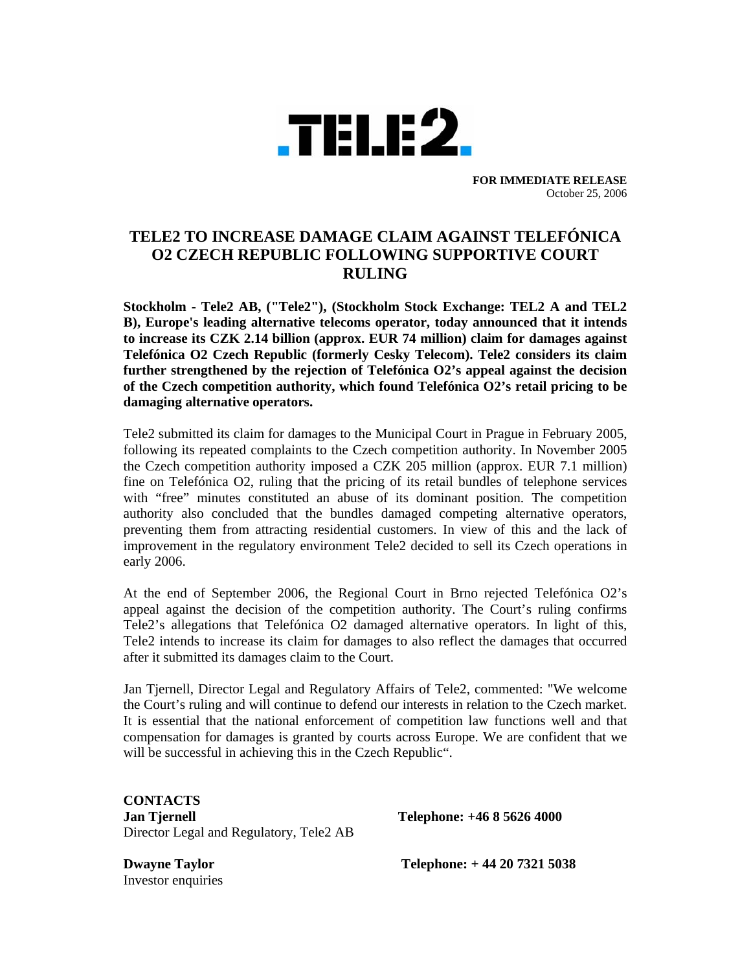

**FOR IMMEDIATE RELEASE**  October 25, 2006

## **TELE2 TO INCREASE DAMAGE CLAIM AGAINST TELEFÓNICA O2 CZECH REPUBLIC FOLLOWING SUPPORTIVE COURT RULING**

**Stockholm - Tele2 AB, ("Tele2"), (Stockholm Stock Exchange: TEL2 A and TEL2 B), Europe's leading alternative telecoms operator, today announced that it intends to increase its CZK 2.14 billion (approx. EUR 74 million) claim for damages against Telefónica O2 Czech Republic (formerly Cesky Telecom). Tele2 considers its claim further strengthened by the rejection of Telefónica O2's appeal against the decision of the Czech competition authority, which found Telefónica O2's retail pricing to be damaging alternative operators.** 

Tele2 submitted its claim for damages to the Municipal Court in Prague in February 2005, following its repeated complaints to the Czech competition authority. In November 2005 the Czech competition authority imposed a CZK 205 million (approx. EUR 7.1 million) fine on Telefónica O2, ruling that the pricing of its retail bundles of telephone services with "free" minutes constituted an abuse of its dominant position. The competition authority also concluded that the bundles damaged competing alternative operators, preventing them from attracting residential customers. In view of this and the lack of improvement in the regulatory environment Tele2 decided to sell its Czech operations in early 2006.

At the end of September 2006, the Regional Court in Brno rejected Telefónica O2's appeal against the decision of the competition authority. The Court's ruling confirms Tele2's allegations that Telefónica O2 damaged alternative operators. In light of this, Tele2 intends to increase its claim for damages to also reflect the damages that occurred after it submitted its damages claim to the Court.

Jan Tjernell, Director Legal and Regulatory Affairs of Tele2, commented: "We welcome the Court's ruling and will continue to defend our interests in relation to the Czech market. It is essential that the national enforcement of competition law functions well and that compensation for damages is granted by courts across Europe. We are confident that we will be successful in achieving this in the Czech Republic".

**CONTACTS Jan Tjernell Telephone: +46 8 5626 4000** Director Legal and Regulatory, Tele2 AB

Investor enquiries

**Dwayne Taylor Telephone: + 44 20 7321 5038**